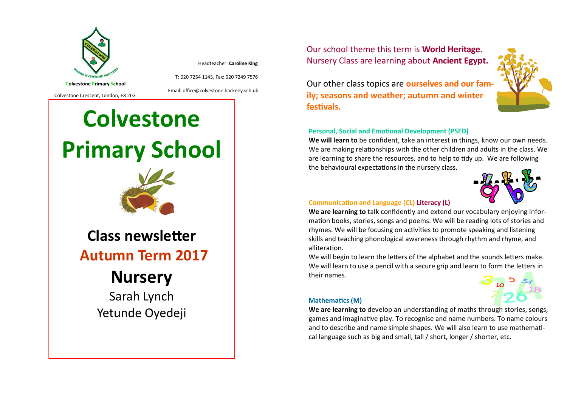

Headteacher: **Caroline King**

T: 020 7254 1143, Fax: 020 7249 7576

Colvestone Crescent, London, E8 2LG

Email: office@colvestone.hackney.sch.uk

# **Colvestone Primary School**



**Class newsletter Autumn Term 2017**

# **Nursery**

Sarah Lynch Yetunde Oyedeji Our school theme this term is **World Heritage.**  Nursery Class are learning about **Ancient Egypt.** 

Our other class topics are **ourselves and our family; seasons and weather; autumn and winter festivals.**

## **Personal, Social and Emotional Development (PSED)**

**We will learn to** be confident, take an interest in things, know our own needs. We are making relationships with the other children and adults in the class. We are learning to share the resources, and to help to tidy up. We are following the behavioural expectations in the nursery class.



# **Communication and Language (CL) Literacy (L)**

**We are learning to** talk confidently and extend our vocabulary enjoying information books, stories, songs and poems. We will be reading lots of stories and rhymes. We will be focusing on activities to promote speaking and listening skills and teaching phonological awareness through rhythm and rhyme, and alliteration.

We will begin to learn the letters of the alphabet and the sounds letters make. We will learn to use a pencil with a secure grip and learn to form the letters in their names.

#### **Mathematics (M)**



**We are learning to** develop an understanding of maths through stories, songs, games and imaginative play. To recognise and name numbers. To name colours and to describe and name simple shapes. We will also learn to use mathematical language such as big and small, tall / short, longer / shorter, etc.